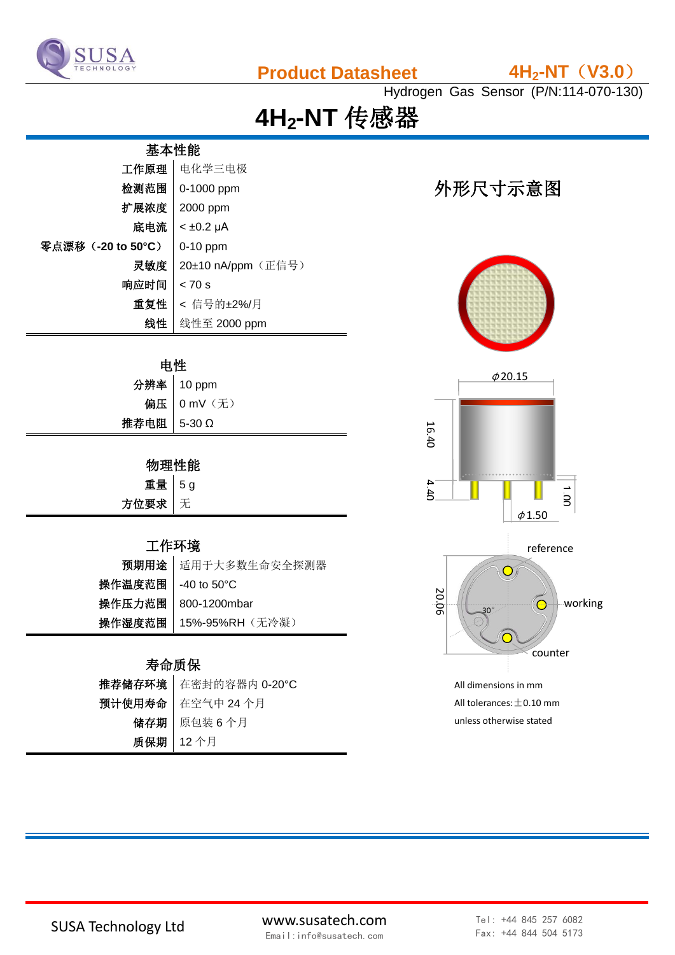

## **Product Datasheet 4H2-NT**(**V3.0**)

Hydrogen Gas Sensor (P/N:114-070-130)

# **4H2-NT** 传感器

# 基本性能

| 工作原理              | 电化学三电极             |
|-------------------|--------------------|
| 检测范围              | 0-1000 ppm         |
| 扩展浓度              | 2000 ppm           |
| 底电流               | $< \pm 0.2$ µA     |
| 零点漂移(-20 to 50°C) | $0-10$ ppm         |
| 灵敏度               | 20±10 nA/ppm (正信号) |
| 响应时间              | < 70 s             |
| 重复性               | < 信号的±2%/月         |
| 线性                | 线性至 2000 ppm       |

#### 电性

|             | 分辨率   10 ppm  |
|-------------|---------------|
|             | 偏压   0 mV (无) |
| 推荐电阻 5-30 Ω |               |
|             |               |

### 物理性能

| 重量 5g  |  |
|--------|--|
| 方位要求 无 |  |

#### 工作环境

| 预期用途 适用于大多数生命安全探测器       |
|--------------------------|
| 操作温度范围   -40 to 50℃      |
| 操作压力范围   800-1200mbar    |
| 操作湿度范围   15%-95%RH (无冷凝) |
|                          |

#### 寿命质保

| 推荐储存环境 在密封的容器内 0-20°C |
|-----------------------|
| 预计使用寿命 在空气中 24 个月     |
| 储存期   原包装6个月          |
| 质保期   12个月            |

## 外形尺寸示意图





unless otherwise stated

SUSA Technology Ltd www.susatech.com Email:info@susatech.com